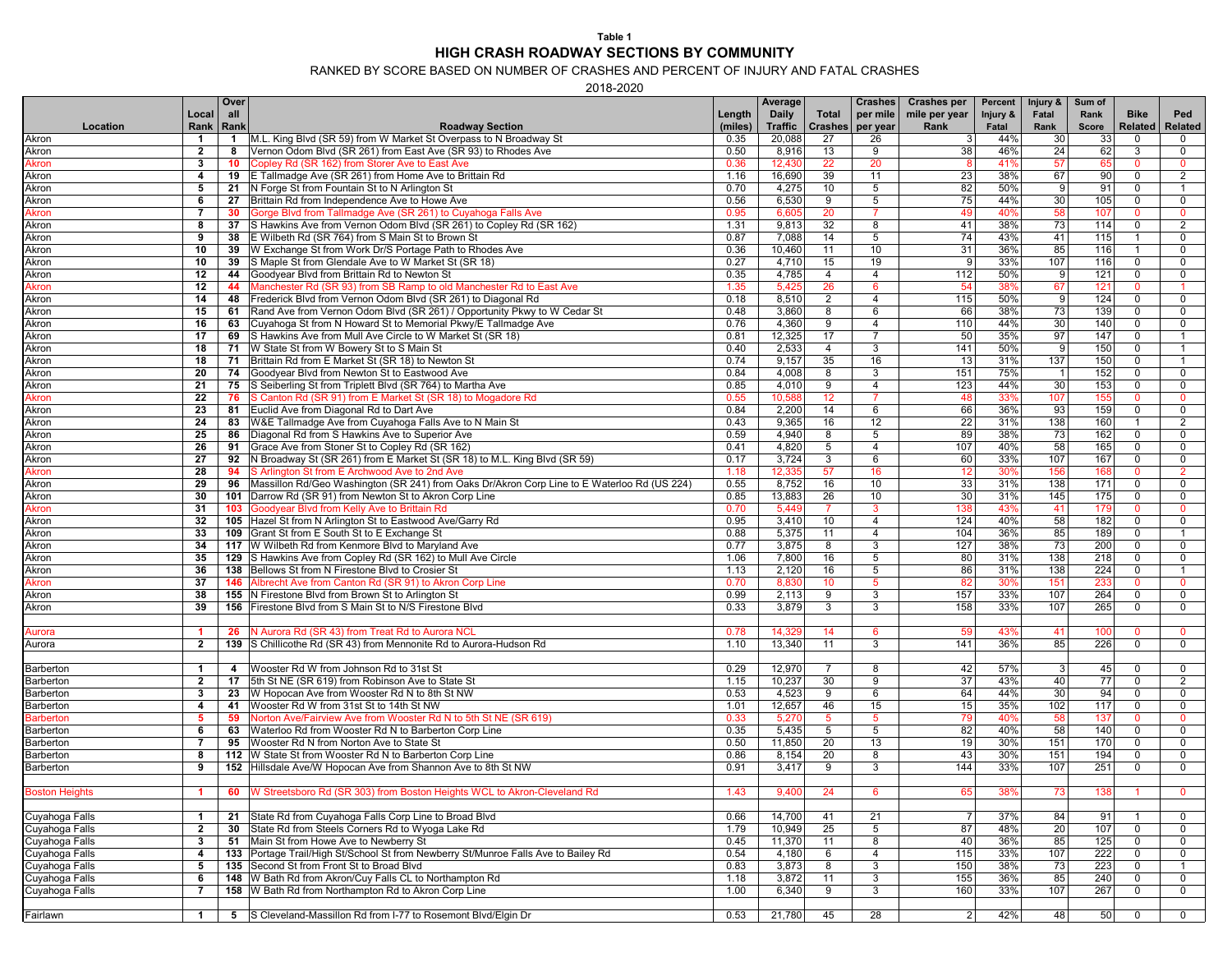## **Table 1 HIGH CRASH ROADWAY SECTIONS BY COMMUNITY**

RANKED BY SCORE BASED ON NUMBER OF CRASHES AND PERCENT OF INJURY AND FATAL CRASHES

2018-2020

|                       |                      | Over           |                                                                                             |         | Average        |                      | <b>Crashes</b> | <b>Crashes per</b> | Percent  | Injury &       | Sum of   |                                 |  |
|-----------------------|----------------------|----------------|---------------------------------------------------------------------------------------------|---------|----------------|----------------------|----------------|--------------------|----------|----------------|----------|---------------------------------|--|
|                       | Local                | all            |                                                                                             | Length  | Daily          | Total                | per mile       | mile per year      | Injury & | Fatal          | Rank     | <b>Bike</b><br>Ped              |  |
| Location              | Rank                 | Rank           | <b>Roadway Section</b>                                                                      | (miles) | <b>Traffic</b> | <b>Crashes</b>       | per year       | Rank               | Fatal    | Rank           | Score    | <b>Related</b><br>Related       |  |
| Akron                 | $\mathbf{1}$         | $\mathbf{1}$   | M.L. King Blvd (SR 59) from W Market St Overpass to N Broadway St                           | 0.35    | 20,088         | 27                   | 26             | 3 <sup>1</sup>     | 44%      | 30             | 33       | $\mathbf 0$<br>$\mathbf 0$      |  |
| Akron                 | $\overline{2}$       | 8              | Vernon Odom Blvd (SR 261) from East Ave (SR 93) to Rhodes Ave                               | 0.50    | 8,916          | 13                   | 9              | 38                 | 46%      | 24             | 62       | 3<br>$\mathbf 0$                |  |
| Akron                 | $\mathbf{3}$         | 10             | Copley Rd (SR 162) from Storer Ave to East Ave                                              | 0.36    | 12,430         | 22                   | 20             |                    | 41%      | 57             | 65       | $\Omega$<br>$\mathbf{0}$        |  |
| Akron                 | 4                    | 19             | E Tallmadge Ave (SR 261) from Home Ave to Brittain Rd                                       | 1.16    | 16,690         | 39                   | 11             | 23                 | 38%      | 67             | 90       | $\mathbf 0$<br>$\overline{2}$   |  |
| Akron                 | 5                    | 21             | N Forge St from Fountain St to N Arlington St                                               | 0.70    | 4,275          | 10 <sup>1</sup>      | 5              | 82                 | 50%      | 9              | 91       | 0<br>$\mathbf 1$                |  |
| Akron                 | 6                    | 27             | Brittain Rd from Independence Ave to Howe Ave                                               | 0.56    | 6,530          | 9                    | 5              | 75                 | 44%      | 30             | 105      | $\mathbf 0$<br>$\mathbf 0$      |  |
| Akron                 | 7                    | 30             | Gorge Blvd from Tallmadge Ave (SR 261) to Cuyahoga Falls Ave                                | 0.95    | 6,605          | 20                   | $\overline{7}$ | 49                 | 40%      | 58             | 107      | $\mathbf{0}$<br>$\mathbf{0}$    |  |
| Akron                 | 8                    | 37             | S Hawkins Ave from Vernon Odom Blvd (SR 261) to Copley Rd (SR 162)                          | 1.31    | 9,813          | 32                   | 8              | 41                 | 38%      | 73             | 114      | 0<br>2                          |  |
| Akron                 | 9                    | 38             | E Wilbeth Rd (SR 764) from S Main St to Brown St                                            | 0.87    | 7,088          | 14                   | 5              | 74                 | 43%      | 41             | 115      | $\mathbf{1}$<br>$\mathbf 0$     |  |
| Akron                 | 10                   | 39             | W Exchange St from Work Dr/S Portage Path to Rhodes Ave                                     | 0.36    | 10,460         | 11                   | 10             | 31                 | 36%      | 85             | 116      | $\mathbf 0$<br>$\mathbf{1}$     |  |
| Akron                 | 10                   | 39             | S Maple St from Glendale Ave to W Market St (SR 18)                                         | 0.27    | 4,710          | 15                   | 19             | 9                  | 33%      | 107            | 116      | 0<br>0                          |  |
| Akron                 | 12                   | 44             | Goodyear Blvd from Brittain Rd to Newton St                                                 | 0.35    | 4,785          | $\overline{4}$       | $\overline{4}$ | 112                | 50%      | 9              | 121      | $\mathbf 0$<br>$\mathbf 0$      |  |
| Akron                 | 12                   | 44             | Manchester Rd (SR 93) from SB Ramp to old Manchester Rd to East Ave                         | 1.35    | 5,425          | 26                   | 6              | 54                 | 38%      | 67             | 121      | $\mathbf{0}$<br>$\mathbf{1}$    |  |
| Akron                 | 14                   | 48             | Frederick Blvd from Vernon Odom Blvd (SR 261) to Diagonal Rd                                | 0.18    | 8,510          | $\overline{2}$       | $\overline{4}$ | 115                | 50%      | 9              | 124      | $\mathbf 0$<br>$\mathbf 0$      |  |
| Akron                 | 15                   | 61             | Rand Ave from Vernon Odom Blvd (SR 261) / Opportunity Pkwy to W Cedar St                    | 0.48    | 3,860          | 8                    | 6              | 66                 | 38%      | 73             | 139      | 0<br>0                          |  |
| Akron                 | 16                   | 63             | Cuyahoga St from N Howard St to Memorial Pkwy/E Tallmadge Ave                               | 0.76    | 4,360          | 9                    | 4              | 110                | 44%      | 30             | 140      | 0<br>0                          |  |
| Akron                 | 17                   | 69             | S Hawkins Ave from Mull Ave Circle to W Market St (SR 18)                                   | 0.81    | 12,325         | 17                   | $\overline{7}$ | 50                 | 35%      | 97             | 147      | $\mathbf 0$<br>$\overline{1}$   |  |
| Akron                 | 18                   | 71             | W State St from W Bowery St to S Main St                                                    | 0.40    | 2,533          | $\overline{4}$       | 3              | 141                | 50%      | 9              | 150      | $\mathbf 0$<br>$\overline{1}$   |  |
| Akron                 | 18                   | 71             | Brittain Rd from E Market St (SR 18) to Newton St                                           | 0.74    | 9,157          | 35                   | 16             | 13                 | 31%      | 137            | 150      | 0<br>$\overline{1}$             |  |
| Akron                 | 20                   | 74             | Goodyear Blvd from Newton St to Eastwood Ave                                                | 0.84    | 4,008          | 8                    | 3              | 151                | 75%      | $\overline{1}$ | 152      | $\mathbf 0$<br>$\mathbf 0$      |  |
| Akron                 | 21                   | 75             | S Seiberling St from Triplett Blvd (SR 764) to Martha Ave                                   | 0.85    | 4,010          | 9                    | $\overline{4}$ | 123                | 44%      | 30             | 153      | $\mathbf 0$<br>$\mathbf 0$      |  |
| Akron                 | 22                   | 76             | S Canton Rd (SR 91) from E Market St (SR 18) to Mogadore Rd                                 | 0.55    | 10,588         | 12 <sub>2</sub>      | 7              | 48                 | 33%      | 107            | 155      | $\mathbf{0}$<br>$\mathbf{0}$    |  |
| Akron                 | 23                   | 81             | Euclid Ave from Diagonal Rd to Dart Ave                                                     | 0.84    | 2,200          | 14                   | 6              | 66                 | 36%      | 93             | 159      | 0<br>0                          |  |
| Akron                 | 24                   | 83             | W&E Tallmadge Ave from Cuyahoga Falls Ave to N Main St                                      | 0.43    | 9,365          | 16                   | 12             | 22                 | 31%      | 138            | 160      | 2<br>$\mathbf{1}$               |  |
| Akron                 | 25                   | 86             | Diagonal Rd from S Hawkins Ave to Superior Ave                                              | 0.59    | 4,940          | 8                    | 5              | 89                 | 38%      | 73             | 162      | $\mathbf 0$<br>$\mathbf{0}$     |  |
| Akron                 | 26                   | 91             | Grace Ave from Stoner St to Copley Rd (SR 162)                                              | 0.41    | 4,820          | 5                    | $\overline{4}$ | 107                | 40%      | 58             | 165      | 0<br>0                          |  |
| Akron                 | 27                   | 92             | N Broadway St (SR 261) from E Market St (SR 18) to M.L. King Blvd (SR 59)                   | 0.17    | 3,724          | 3                    | 6              | 60                 | 33%      | 107            | 167      | 0<br>$\mathbf 0$                |  |
| Akron                 | 28                   | 94             | S Arlington St from E Archwood Ave to 2nd Ave                                               | 1.18    | 12,335         | 57                   | 16             | 12                 | 30%      | 156            | 168      | $\Omega$<br>$\overline{2}$      |  |
| Akron                 | 29                   | 96             | Massillon Rd/Geo Washington (SR 241) from Oaks Dr/Akron Corp Line to E Waterloo Rd (US 224) | 0.55    | 8,752          | 16                   | 10             | 33                 | 31%      | 138            | 171      | 0<br>$\mathbf 0$                |  |
| Akron                 | 30                   | 101            | Darrow Rd (SR 91) from Newton St to Akron Corp Line                                         | 0.85    | 13,883         | 26                   | 10             | 30                 | 31%      | 145            | 175      | 0<br>$\mathbf 0$                |  |
| Akron                 | 31                   | 103            | Goodyear Blvd from Kelly Ave to Brittain Rd                                                 | 0.70    | 5,449          | $\overline{7}$       | 3              | 138                | 43%      | 41             | 179      | $\mathbf{0}$<br>$\Omega$        |  |
| Akron                 | 32                   |                | 105 Hazel St from N Arlington St to Eastwood Ave/Garry Rd                                   | 0.95    | 3,410          | 10                   | 4              | 124                | 40%      | 58             | 182      | $\mathbf 0$<br>0                |  |
| Akron                 | 33                   |                | 109 Grant St from E South St to E Exchange St                                               | 0.88    | 5,375          | 11                   | 4              | 104                | 36%      | 85             | 189      | 0<br>$\overline{1}$             |  |
| Akron                 | 34                   |                | 117 W Wilbeth Rd from Kenmore Blvd to Maryland Ave                                          | 0.77    | 3,875          | 8                    | 3              | 127                | 38%      | 73             | 200      | $\mathbf 0$<br>$\mathbf 0$      |  |
| Akron                 | 35                   |                | 129 S Hawkins Ave from Copley Rd (SR 162) to Mull Ave Circle                                | 1.06    | 7,800          | 16                   | 5              | 80                 | 31%      | 138            | 218      | 0<br>$\mathbf 0$                |  |
| Akron                 | 36                   |                | 138 Bellows St from N Firestone Blvd to Crosier St                                          | 1.13    | 2,120          | 16                   | 5              | 86                 | 31%      | 138            | 224      | 0<br>$\mathbf{1}$               |  |
| Akron                 | 37                   | 146            | Albrecht Ave from Canton Rd (SR 91) to Akron Corp Line                                      | 0.70    | 8,830          | 10 <sup>°</sup>      | 5 <sup>5</sup> | 82                 | 30%      | 151            | 233      | $\mathbf{0}$<br>$\mathbf{0}$    |  |
| Akron                 | 38                   |                | 155 N Firestone Blvd from Brown St to Arlington St                                          | 0.99    | 2,113          | 9                    | 3              | 157                | 33%      | 107            | 264      | 0<br>$\mathbf 0$                |  |
| Akron                 | 39                   |                | 156 Firestone Blvd from S Main St to N/S Firestone Blvd                                     | 0.33    | 3,879          | 3                    | 3              | 158                | 33%      | 107            | 265      | 0<br>$\mathbf 0$                |  |
|                       |                      |                |                                                                                             |         |                |                      |                |                    |          |                |          |                                 |  |
|                       | $\blacktriangleleft$ | 26             | V Aurora Rd (SR 43) from Treat Rd to Aurora NCL                                             | 0.78    | 14,329         | 14                   | 6              | 59                 | 43%      | 41             | 100      | $\mathbf 0$<br>$\mathbf{0}$     |  |
| Aurora                |                      |                |                                                                                             |         |                |                      | 3              |                    | 36%      | 85             |          |                                 |  |
| Aurora                | $\overline{2}$       |                | 139 S Chillicothe Rd (SR 43) from Mennonite Rd to Aurora-Hudson Rd                          | 1.10    | 13,340         | 11                   |                | 141                |          |                | 226      | 0<br>$\mathbf 0$                |  |
|                       |                      |                |                                                                                             |         |                |                      |                |                    |          |                |          |                                 |  |
| Barberton             | $\mathbf{1}$         | $\overline{4}$ | Wooster Rd W from Johnson Rd to 31st St                                                     | 0.29    | 12,970         | $\overline{7}$<br>30 | 8              | 42                 | 57%      | $\mathbf{3}$   | 45<br>77 | 0<br>$\mathbf 0$<br>$\mathbf 0$ |  |
| Barberton             | $\overline{2}$       | 17             | 5th St NE (SR 619) from Robinson Ave to State St                                            | 1.15    | 10,237         |                      | 9              | 37                 | 43%      | 40             |          | 2                               |  |
| Barberton             | 3                    | 23             | W Hopocan Ave from Wooster Rd N to 8th St NW                                                | 0.53    | 4,523          | 9                    | 6              | 64                 | 44%      | 30             | 94       | $\mathbf 0$<br>$\mathbf 0$      |  |
| Barberton             | 4                    | 41             | Wooster Rd W from 31st St to 14th St NW                                                     | 1.01    | 12,657         | 46                   | 15             | 15                 | 35%      | 102            | 117      | 0<br>$\mathbf 0$                |  |
| <b>Barberton</b>      | -5                   | 59             | Vorton Ave/Fairview Ave from Wooster Rd N to 5th St NE (SR 619)                             | 0.33    | 5,270          | 5 <sup>5</sup>       | 5 <sup>5</sup> | 79                 | 40%      | 58             | 137      | $\mathbf{0}$<br>$\mathbf 0$     |  |
| Barberton             | 6                    | 63             | Waterloo Rd from Wooster Rd N to Barberton Corp Line                                        | 0.35    | 5,435          | 5                    | 5              | 82                 | 40%      | 58             | 140      | $\mathbf 0$<br>$\mathbf 0$      |  |
| Barberton             | $\overline{7}$       | 95             | Wooster Rd N from Norton Ave to State St                                                    | 0.50    | 11,850         | 20                   | 13             | 19                 | 30%      | 151            | 170      | 0<br>$\mathbf{0}$               |  |
| Barberton             | 8                    | 112            | W State St from Wooster Rd N to Barberton Corp Line                                         | 0.86    | 8,154          | 20                   | 8              | 43                 | 30%      | 151            | 194      | 0<br>0                          |  |
| Barberton             | 9                    |                | 152 Hillsdale Ave/W Hopocan Ave from Shannon Ave to 8th St NW                               | 0.91    | 3,417          | 9                    | 3              | 144                | 33%      | 107            | 251      | $\mathbf 0$<br>0                |  |
|                       |                      |                |                                                                                             |         |                |                      |                |                    |          |                |          |                                 |  |
| <b>Boston Heights</b> | $\blacksquare$       |                | 60 W Streetsboro Rd (SR 303) from Boston Heights WCL to Akron-Cleveland Rd                  | 1.43    | 9,400          | 24                   | -6             | 65                 | 38%      | 73             | 138      | -1.<br>$\Omega$                 |  |
|                       |                      |                |                                                                                             |         |                |                      |                |                    |          |                |          |                                 |  |
| Cuyahoga Falls        | $\mathbf{1}$         | 21             | State Rd from Cuvahoga Falls Corp Line to Broad Blyd                                        | 0.66    | 14,700         | 41                   | 21             | $\overline{7}$     | 37%      | 84             | 91       | 0<br>$\overline{1}$             |  |
| Cuyahoga Falls        | $\overline{2}$       | 30             | State Rd from Steels Corners Rd to Wyoga Lake Rd                                            | 1.79    | 10,949         | 25                   | 5              | 87                 | 48%      | 20             | 107      | 0<br>$\mathbf 0$                |  |
| Cuyahoga Falls        | 3                    | 51             | Main St from Howe Ave to Newberry St                                                        | 0.45    | 11,370         | 11                   | 8              | 40                 | 36%      | 85             | 125      | $\mathbf 0$<br>$\mathbf 0$      |  |
| Cuyahoga Falls        | 4                    | 133            | Portage Trail/High St/School St from Newberry St/Munroe Falls Ave to Bailey Rd              | 0.54    | 4,180          | 6                    | $\overline{4}$ | 115                | 33%      | 107            | 222      | $\mathbf 0$<br>$\mathbf 0$      |  |
| Cuyahoga Falls        | 5                    | 135            | Second St from Front St to Broad Blvd                                                       | 0.83    | 3,873          | 8                    | 3              | 150                | 38%      | 73             | 223      | 0<br>$\mathbf{1}$               |  |
| Cuyahoga Falls        | 6                    |                | 148 W Bath Rd from Akron/Cuy Falls CL to Northampton Rd                                     | 1.18    | 3,872          | 11                   | 3              | 155                | 36%      | 85             | 240      | 0<br>$\mathbf 0$                |  |
| Cuyahoga Falls        | $\overline{7}$       |                | 158 W Bath Rd from Northampton Rd to Akron Corp Line                                        | 1.00    | 6,340          | 9                    | 3              | 160                | 33%      | 107            | 267      | 0<br>$\mathbf 0$                |  |
|                       |                      |                |                                                                                             |         |                |                      |                |                    |          |                |          |                                 |  |
| Fairlawn              | $\mathbf{1}$         |                | 5 S Cleveland-Massillon Rd from I-77 to Rosemont Blvd/Elgin Dr                              | 0.53    | 21,780         | 45                   | 28             | $\overline{2}$     | 42%      | 48             | 50       | $\mathbf 0$<br>$\mathbf 0$      |  |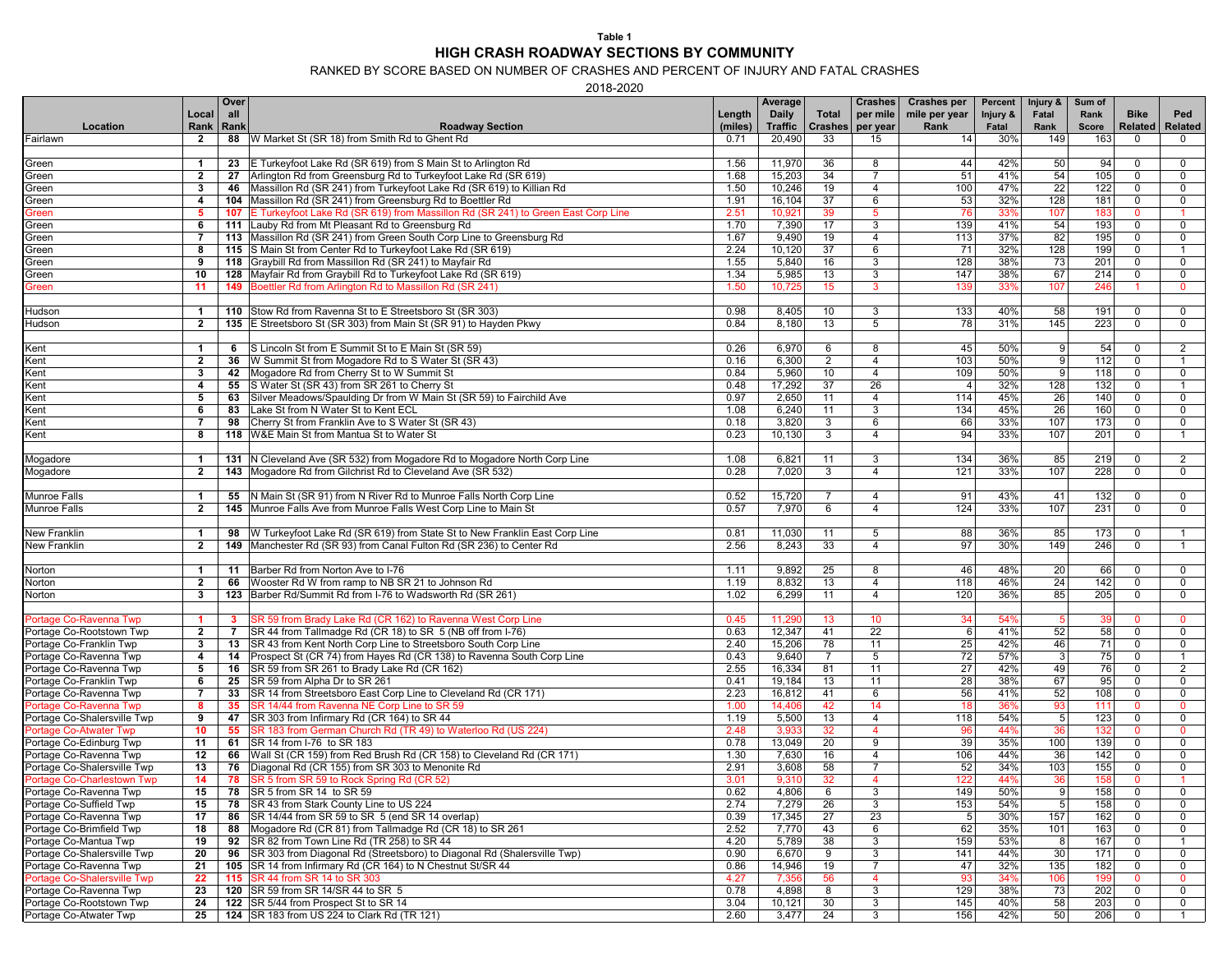## **Table 1 HIGH CRASH ROADWAY SECTIONS BY COMMUNITY**

RANKED BY SCORE BASED ON NUMBER OF CRASHES AND PERCENT OF INJURY AND FATAL CRASHES

2018-2020

|                                                  |                | Over         |                                                                                                                           |         | Average         |                | <b>Crashes</b>  | <b>Crashes per</b> | Percent  | Injury &        | Sum of       |                      |                      |
|--------------------------------------------------|----------------|--------------|---------------------------------------------------------------------------------------------------------------------------|---------|-----------------|----------------|-----------------|--------------------|----------|-----------------|--------------|----------------------|----------------------|
|                                                  | Local          | all          |                                                                                                                           | Length  | Daily           | Total          | per mile        | mile per year      | Injury & | Fatal           | Rank         | <b>Bike</b>          | Ped                  |
| Location                                         | Rank           | Rank         | <b>Roadway Section</b>                                                                                                    | (miles) | <b>Traffic</b>  | <b>Crashes</b> | per year        | Rank               | Fatal    | Rank            | <b>Score</b> | Related              | Related              |
| Fairlawn                                         | $\mathbf{2}$   |              | 88   W Market St (SR 18) from Smith Rd to Ghent Rd                                                                        | 0.71    | 20,490          | 33             | 15              | 14                 | 30%      | 149             | 163          | $\mathbf 0$          | $\mathbf{0}$         |
|                                                  |                |              |                                                                                                                           |         |                 |                |                 |                    |          |                 |              |                      |                      |
| Green                                            | $\overline{1}$ |              | 23 E Turkeyfoot Lake Rd (SR 619) from S Main St to Arlington Rd                                                           | 1.56    | 11,970          | 36             | 8               | 44                 | 42%      | 50              | 94           | $\mathbf 0$          | 0                    |
| Green                                            | $\overline{2}$ | 27           | Arlington Rd from Greensburg Rd to Turkeyfoot Lake Rd (SR 619)                                                            | 1.68    | 15,203          | 34             | $\overline{7}$  | 51                 | 41%      | 54              | 105          | $\Omega$             | 0                    |
| Green                                            | 3              | 46           | Massillon Rd (SR 241) from Turkeyfoot Lake Rd (SR 619) to Killian Rd                                                      | 1.50    | 10,246          | 19             | $\overline{4}$  | 100                | 47%      | 22              | 122          | $\mathbf 0$          | 0                    |
| Green                                            | 4              |              | 104 Massillon Rd (SR 241) from Greensburg Rd to Boettler Rd                                                               | 1.91    | 16,104          | 37             | 6               | 53                 | 32%      | 128             | 181          | $\mathbf 0$          | $\mathbf 0$          |
| Green                                            | 5              |              | 107 E Turkeyfoot Lake Rd (SR 619) from Massillon Rd (SR 241) to Green East Corp Line                                      | 2.51    | 10,921          | 39             | 5 <sup>5</sup>  | 76                 | 33%      | 107             | 183          | $\Omega$             |                      |
| Green                                            | 6              |              | 111 Lauby Rd from Mt Pleasant Rd to Greensburg Rd                                                                         | 1.70    | 7,390           | 17             | 3               | 139                | 41%      | 54              | 193          | $\mathbf 0$          | $\mathbf 0$          |
| Green                                            | 7              |              | 113   Massillon Rd (SR 241) from Green South Corp Line to Greensburg Rd                                                   | 1.67    | 9,490           | 19             | $\overline{4}$  | 113                | 37%      | 82              | 195          | $\mathbf 0$          | $\mathbf 0$          |
| Green                                            | 8              |              | 115 S Main St from Center Rd to Turkeyfoot Lake Rd (SR 619)                                                               | 2.24    | 10,120          | 37             | 6               | 71                 | 32%      | 128             | 199          | $\mathbf 0$          | $\mathbf{1}$         |
| Green                                            | 9              |              | 118 Graybill Rd from Massillon Rd (SR 241) to Mayfair Rd                                                                  | 1.55    | 5,840           | 16             | 3               | 128                | 38%      | 73              | 201          | $\mathbf 0$          | 0                    |
| Green                                            | 10             |              | 128 Mayfair Rd from Graybill Rd to Turkeyfoot Lake Rd (SR 619)                                                            | 1.34    | 5,985           | 13             | 3               | 147                | 38%      | 67              | 214          | $\mathbf 0$          | $\mathbf 0$          |
| Green                                            | 11             | 149          | Boettler Rd from Arlington Rd to Massillon Rd (SR 241)                                                                    | 1.50    | 10,725          | 15             | 3               | 139                | 33%      | 107             | 246          | $\blacktriangleleft$ | $\mathbf{0}$         |
|                                                  |                |              |                                                                                                                           |         |                 |                |                 |                    |          |                 |              |                      |                      |
| Hudson                                           | $\mathbf{1}$   |              | 110 Stow Rd from Ravenna St to E Streetsboro St (SR 303)                                                                  | 0.98    | 8,405           | 10             | 3               | 133                | 40%      | 58              | 191          | $\mathbf 0$          | $\mathbf 0$          |
| Hudson                                           | $\overline{2}$ |              | 135 E Streetsboro St (SR 303) from Main St (SR 91) to Hayden Pkwy                                                         | 0.84    | 8,180           | 13             | 5               | 78                 | 31%      | 145             | 223          | $\Omega$             | $\mathbf 0$          |
|                                                  |                |              |                                                                                                                           |         |                 |                |                 |                    |          |                 |              |                      |                      |
| Kent                                             | $\mathbf{1}$   | 6            | S Lincoln St from E Summit St to E Main St (SR 59)                                                                        | 0.26    | 6,970           | 6              | 8               | 45                 | 50%      | 9 <sup>1</sup>  | 54           | $\mathbf 0$          | 2                    |
| Kent                                             | $\overline{2}$ | 36           | W Summit St from Mogadore Rd to S Water St (SR 43)                                                                        | 0.16    | 6,300           | 2              | $\overline{4}$  | 103                | 50%      | 9 <sup>1</sup>  | 112          | $\mathbf 0$          | $\overline{1}$       |
|                                                  |                |              | 42 Mogadore Rd from Cherry St to W Summit St                                                                              | 0.84    | 5,960           | 10             | $\overline{4}$  | 109                | 50%      | 9 <sup>1</sup>  | 118          | $\mathbf 0$          | $\mathbf 0$          |
| Kent                                             | 3              |              |                                                                                                                           |         |                 | 37             |                 |                    |          |                 |              |                      | $\overline{1}$       |
| Kent                                             | 4              |              | 55 S Water St (SR 43) from SR 261 to Cherry St                                                                            | 0.48    | 17,292          |                | 26              | $\overline{4}$     | 32%      | 128             | 132          | $\mathbf 0$          |                      |
| Kent                                             | 5              | 63           | Silver Meadows/Spaulding Dr from W Main St (SR 59) to Fairchild Ave                                                       | 0.97    | 2,650           | 11             | 4               | 114                | 45%      | 26              | 140          | $\mathbf 0$          | $\mathbf 0$          |
| Kent                                             | 6              | 83           | Lake St from N Water St to Kent ECL                                                                                       | 1.08    | 6,240           | 11             | 3               | 134                | 45%      | 26              | 160          | $\mathbf 0$          | 0                    |
| Kent                                             | $\overline{7}$ | 98           | Cherry St from Franklin Ave to S Water St (SR 43)                                                                         | 0.18    | 3,820           | 3              | 6               | 66                 | 33%      | 107             | 173          | $\Omega$             | $\mathbf 0$          |
| Kent                                             | 8              |              | 118 W&E Main St from Mantua St to Water St                                                                                | 0.23    | 10,130          | $\mathbf{3}$   | $\overline{4}$  | 94                 | 33%      | 107             | 201          | $\mathbf 0$          | $\overline{1}$       |
|                                                  |                |              |                                                                                                                           |         |                 |                |                 |                    |          |                 |              |                      |                      |
| Mogadore                                         | $\mathbf{1}$   |              | 131 N Cleveland Ave (SR 532) from Mogadore Rd to Mogadore North Corp Line                                                 | 1.08    | 6,821           | 11             | 3               | 134                | 36%      | 85              | 219          | $\mathbf 0$          | $\overline{2}$       |
| Mogadore                                         | $\mathbf{2}$   |              | 143 Mogadore Rd from Gilchrist Rd to Cleveland Ave (SR 532)                                                               | 0.28    | 7,020           | 3              | $\overline{4}$  | 121                | 33%      | 107             | 228          | $\mathbf 0$          | $\mathbf 0$          |
|                                                  |                |              |                                                                                                                           |         |                 |                |                 |                    |          |                 |              |                      |                      |
| <b>Munroe Falls</b>                              | $\mathbf{1}$   |              | 55 N Main St (SR 91) from N River Rd to Munroe Falls North Corp Line                                                      | 0.52    | 15,720          | $\overline{7}$ | $\overline{4}$  | 91                 | 43%      | 41              | 132          | $\mathbf 0$          | $\mathbf 0$          |
| <b>Munroe Falls</b>                              | $\mathbf{2}$   |              | 145 Munroe Falls Ave from Munroe Falls West Corp Line to Main St                                                          | 0.57    | 7,970           | 6              | $\overline{4}$  | 124                | 33%      | 107             | 231          | $\mathbf 0$          | $\mathbf 0$          |
|                                                  |                |              |                                                                                                                           |         |                 |                |                 |                    |          |                 |              |                      |                      |
| New Franklin                                     | $\mathbf{1}$   | 98           | W Turkeyfoot Lake Rd (SR 619) from State St to New Franklin East Corp Line                                                | 0.81    | 11,030          | 11             | 5               | 88                 | 36%      | 85              | 173          | $\mathbf 0$          | $\overline{1}$       |
| <b>New Franklin</b>                              | $\mathbf{2}$   |              | 149   Manchester Rd (SR 93) from Canal Fulton Rd (SR 236) to Center Rd                                                    | 2.56    | 8,243           | 33             | $\overline{4}$  | 97                 | 30%      | 149             | 246          | $\mathbf 0$          | $\overline{1}$       |
|                                                  |                |              |                                                                                                                           |         |                 |                |                 |                    |          |                 |              |                      |                      |
| Norton                                           | $\mathbf{1}$   |              | 11   Barber Rd from Norton Ave to I-76                                                                                    | 1.11    | 9,892           | 25             | 8               | 46                 | 48%      | 20              | 66           | $\mathbf 0$          | $\mathbf 0$          |
| Norton                                           | $\overline{2}$ | 66           | Wooster Rd W from ramp to NB SR 21 to Johnson Rd                                                                          | 1.19    | 8,832           | 13             | $\overline{4}$  | 118                | 46%      | 24              | 142          | 0                    | 0                    |
| Norton                                           | 3              |              | 123 Barber Rd/Summit Rd from I-76 to Wadsworth Rd (SR 261)                                                                | 1.02    | 6,299           | 11             | $\overline{4}$  | 120                | 36%      | 85              | 205          | $\Omega$             | $\mathbf 0$          |
|                                                  |                |              |                                                                                                                           |         |                 |                |                 |                    |          |                 |              |                      |                      |
| Portage Co-Ravenna Twp                           | $\mathbf{1}$   | $\mathbf{3}$ | SR 59 from Brady Lake Rd (CR 162) to Ravenna West Corp Line                                                               | 0.45    | 11,290          | 13             | 10 <sup>°</sup> | 34                 | 54%      | -5              | 39           | $\mathbf{0}$         | $\mathbf 0$          |
| Portage Co-Rootstown Twp                         | $\mathbf{2}$   | 7            | SR 44 from Tallmadge Rd (CR 18) to SR 5 (NB off from I-76)                                                                | 0.63    | 12,347          | 41             | $\overline{22}$ | 6                  | 41%      | 52              | 58           | $\mathbf 0$          | 0                    |
| Portage Co-Franklin Twp                          | 3              | 13           | SR 43 from Kent North Corp Line to Streetsboro South Corp Line                                                            | 2.40    | 15,206          | 78             | 11              | 25                 | 42%      | 46              | 71           | $\mathbf 0$          | $\mathbf 0$          |
|                                                  |                |              |                                                                                                                           | 0.43    |                 | $\overline{7}$ | 5               | 72                 | 57%      | $\mathbf{3}$    | 75           | $\mathbf 0$          | $\mathbf 1$          |
| Portage Co-Ravenna Twp<br>Portage Co-Ravenna Twp | 4<br>5         | 16           | 14   Prospect St (CR 74) from Hayes Rd (CR 138) to Ravenna South Corp Line<br>SR 59 from SR 261 to Brady Lake Rd (CR 162) | 2.55    | 9,640<br>16,334 | 81             | 11              | 27                 | 42%      | 49              | 76           | $\mathbf 0$          | 2                    |
|                                                  |                |              |                                                                                                                           |         |                 |                |                 |                    |          |                 |              |                      |                      |
| Portage Co-Franklin Twp                          | 6              |              | 25   SR 59 from Alpha Dr to SR 261                                                                                        | 0.41    | 19,184          | 13             | 11              | 28                 | 38%      | 67              | 95           | $\mathbf 0$          | $\mathbf 0$          |
| Portage Co-Ravenna Twp                           | $\overline{7}$ | 33           | SR 14 from Streetsboro East Corp Line to Cleveland Rd (CR 171)                                                            | 2.23    | 16,812          | 41             | 6               | 56                 | 41%      | 52              | 108          | $\mathbf 0$          | $\mathbf 0$          |
| Portage Co-Ravenna Twp                           | 8              | 35           | SR 14/44 from Ravenna NE Corp Line to SR 59                                                                               | 1.00    | 14,406          | 42             | 14              | 18                 | 36%      | 93              | 111          | $\Omega$             | $\mathbf{0}$         |
| Portage Co-Shalersville Twp                      | 9              |              | 47   SR 303 from Infirmary Rd (CR 164) to SR 44                                                                           | 1.19    | 5,500           | 13             | 4               | 118                | 54%      | $5\phantom{.0}$ | 123          | $\mathbf 0$          | 0                    |
| <b>Portage Co-Atwater Twp</b>                    | 10             | 55           | SR 183 from German Church Rd (TR 49) to Waterloo Rd (US 224)                                                              | 2.48    | 3,933           | 32             | $\overline{4}$  | 96                 | 44%      | 36              | 132          | $\mathbf{0}$         | $\mathbf{0}$         |
| Portage Co-Edinburg Twp                          | 11             |              | 61 SR 14 from I-76 to SR 183                                                                                              | 0.78    | 13,049          | 20             | 9               | 39                 | 35%      | 100             | 139          | $\mathbf 0$          | 0                    |
| Portage Co-Ravenna Twp                           | 12             |              | 66   Wall St (CR 159) from Red Brush Rd (CR 158) to Cleveland Rd (CR 171)                                                 | 1.30    | 7,630           | 16             | $\overline{4}$  | 106                | 44%      | 36              | 142          | $\mathbf 0$          | 0                    |
| Portage Co-Shalersville Twp                      | 13             |              | 76   Diagonal Rd (CR 155) from SR 303 to Menonite Rd                                                                      | 2.91    | 3,608           | 58             | $\overline{7}$  | 52                 | 34%      | 103             | 155          | $\mathbf 0$          | $\mathbf 0$          |
| Portage Co-Charlestown Twp                       | 14             | 78           | SR 5 from SR 59 to Rock Spring Rd (CR 52)                                                                                 | 3.01    | 9,310           | 32             | $\overline{4}$  | 122                | 44%      | 36              | 158          | $\mathbf{0}$         | $\blacktriangleleft$ |
| Portage Co-Ravenna Twp                           | 15             |              | 78   SR 5 from SR 14 to SR 59                                                                                             | 0.62    | 4,806           | 6              | 3               | 149                | 50%      | 9 <sup>1</sup>  | 158          | $\Omega$             | $\mathbf 0$          |
| Portage Co-Suffield Twp                          | 15             |              | 78   SR 43 from Stark County Line to US 224                                                                               | 2.74    | 7,279           | 26             | 3               | 153                | 54%      | 5 <sup>1</sup>  | 158          | 0                    | 0                    |
| Portage Co-Ravenna Twp                           | 17             |              | 86   SR 14/44 from SR 59 to SR 5 (end SR 14 overlap)                                                                      | 0.39    | 17,345          | 27             | 23              | 5 <sup>1</sup>     | 30%      | 157             | 162          | $\mathbf 0$          | 0                    |
| Portage Co-Brimfield Twp                         | 18             |              | 88 Mogadore Rd (CR 81) from Tallmadge Rd (CR 18) to SR 261                                                                | 2.52    | 7,770           | 43             | 6               | 62                 | 35%      | 101             | 163          | $\Omega$             | 0                    |
| Portage Co-Mantua Twp                            | 19             |              | 92 SR 82 from Town Line Rd (TR 258) to SR 44                                                                              | 4.20    | 5,789           | 38             | 3               | 159                | 53%      | 8               | 167          | $\mathbf 0$          | $\mathbf{1}$         |
| Portage Co-Shalersville Twp                      | 20             |              | 96 SR 303 from Diagonal Rd (Streetsboro) to Diagonal Rd (Shalersville Twp)                                                | 0.90    | 6,670           | 9              | 3               | 141                | 44%      | 30              | 171          | 0                    | $\mathbf 0$          |
| Portage Co-Ravenna Twp                           | 21             |              | 105   SR 14 from Infirmary Rd (CR 164) to N Chestnut St/SR 44                                                             | 0.86    | 14,946          | 19             | $\overline{7}$  | 47                 | 32%      | 135             | 182          | $\mathbf 0$          | $\mathbf 0$          |
| Portage Co-Shalersville Twp                      | 22             |              | 115   SR 44 from SR 14 to SR 303                                                                                          | 4.27    | 7,356           | 56             | 4               | 93                 | 34%      | 106             | 199          | $\mathbf 0$          | $\mathbf{0}$         |
| Portage Co-Ravenna Twp                           | 23             |              | 120 SR 59 from SR 14/SR 44 to SR 5                                                                                        | 0.78    | 4,898           | 8              | 3               | 129                | 38%      | 73              | 202          | $\mathbf 0$          | $\mathbf 0$          |
| Portage Co-Rootstown Twp                         | 24             |              | 122 SR 5/44 from Prospect St to SR 14                                                                                     | 3.04    | 10,121          | 30             | $\mathbf{3}$    | 145                | 40%      | 58              | 203          | $\mathbf 0$          | $\mathbf 0$          |
| Portage Co-Atwater Twp                           | 25             |              | 124   SR 183 from US 224 to Clark Rd (TR 121)                                                                             | 2.60    | 3,477           | 24             | $\mathbf{3}$    | 156                | 42%      | 50              | 206          | $\mathbf 0$          | $\overline{1}$       |
|                                                  |                |              |                                                                                                                           |         |                 |                |                 |                    |          |                 |              |                      |                      |